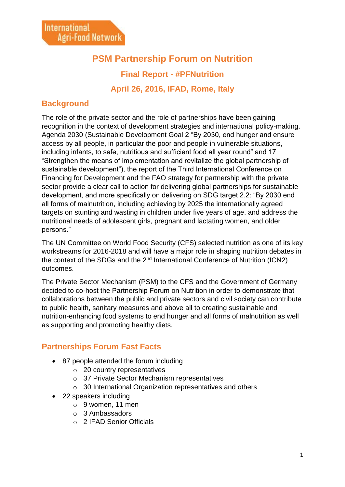# **PSM Partnership Forum on Nutrition**

**Final Report - #PFNutrition**

**April 26, 2016, IFAD, Rome, Italy**

## **Background**

The role of the private sector and the role of partnerships have been gaining recognition in the context of development strategies and international policy-making. Agenda 2030 (Sustainable Development Goal 2 "By 2030, end hunger and ensure access by all people, in particular the poor and people in vulnerable situations, including infants, to safe, nutritious and sufficient food all year round" and 17 "Strengthen the means of implementation and revitalize the global partnership of sustainable development"), the report of the Third International Conference on Financing for Development and the FAO strategy for partnership with the private sector provide a clear call to action for delivering global partnerships for sustainable development, and more specifically on delivering on SDG target 2.2: "By 2030 end all forms of malnutrition, including achieving by 2025 the internationally agreed targets on stunting and wasting in children under five years of age, and address the nutritional needs of adolescent girls, pregnant and lactating women, and older persons."

The UN Committee on World Food Security (CFS) selected nutrition as one of its key workstreams for 2016-2018 and will have a major role in shaping nutrition debates in the context of the SDGs and the 2<sup>nd</sup> International Conference of Nutrition (ICN2) outcomes.

The Private Sector Mechanism (PSM) to the CFS and the Government of Germany decided to co-host the Partnership Forum on Nutrition in order to demonstrate that collaborations between the public and private sectors and civil society can contribute to public health, sanitary measures and above all to creating sustainable and nutrition-enhancing food systems to end hunger and all forms of malnutrition as well as supporting and promoting healthy diets.

## **Partnerships Forum Fast Facts**

- 87 people attended the forum including
	- o 20 country representatives
	- o 37 Private Sector Mechanism representatives
	- o 30 International Organization representatives and others
- 22 speakers including
	- o 9 women, 11 men
	- o 3 Ambassadors
	- o 2 IFAD Senior Officials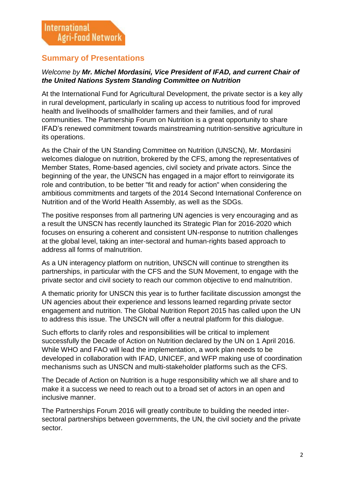## **Summary of Presentations**

## *Welcome by Mr. Michel Mordasini, Vice President of IFAD, and current Chair of the United Nations System Standing Committee on Nutrition*

At the International Fund for Agricultural Development, the private sector is a key ally in rural development, particularly in scaling up access to nutritious food for improved health and livelihoods of smallholder farmers and their families, and of rural communities. The Partnership Forum on Nutrition is a great opportunity to share IFAD's renewed commitment towards mainstreaming nutrition-sensitive agriculture in its operations.

As the Chair of the UN Standing Committee on Nutrition (UNSCN), Mr. Mordasini welcomes dialogue on nutrition, brokered by the CFS, among the representatives of Member States, Rome-based agencies, civil society and private actors. Since the beginning of the year, the UNSCN has engaged in a major effort to reinvigorate its role and contribution, to be better "fit and ready for action" when considering the ambitious commitments and targets of the 2014 Second International Conference on Nutrition and of the World Health Assembly, as well as the SDGs.

The positive responses from all partnering UN agencies is very encouraging and as a result the UNSCN has recently launched its Strategic Plan for 2016-2020 which focuses on ensuring a coherent and consistent UN-response to nutrition challenges at the global level, taking an inter-sectoral and human-rights based approach to address all forms of malnutrition.

As a UN interagency platform on nutrition, UNSCN will continue to strengthen its partnerships, in particular with the CFS and the SUN Movement, to engage with the private sector and civil society to reach our common objective to end malnutrition.

A thematic priority for UNSCN this year is to further facilitate discussion amongst the UN agencies about their experience and lessons learned regarding private sector engagement and nutrition. The Global Nutrition Report 2015 has called upon the UN to address this issue. The UNSCN will offer a neutral platform for this dialogue.

Such efforts to clarify roles and responsibilities will be critical to implement successfully the Decade of Action on Nutrition declared by the UN on 1 April 2016. While WHO and FAO will lead the implementation, a work plan needs to be developed in collaboration with IFAD, UNICEF, and WFP making use of coordination mechanisms such as UNSCN and multi-stakeholder platforms such as the CFS.

The Decade of Action on Nutrition is a huge responsibility which we all share and to make it a success we need to reach out to a broad set of actors in an open and inclusive manner.

The Partnerships Forum 2016 will greatly contribute to building the needed intersectoral partnerships between governments, the UN, the civil society and the private sector.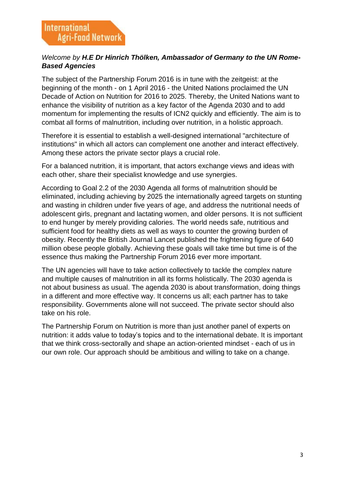## *Welcome by H.E Dr Hinrich Thölken, Ambassador of Germany to the UN Rome-Based Agencies*

The subject of the Partnership Forum 2016 is in tune with the zeitgeist: at the beginning of the month - on 1 April 2016 - the United Nations proclaimed the UN Decade of Action on Nutrition for 2016 to 2025. Thereby, the United Nations want to enhance the visibility of nutrition as a key factor of the Agenda 2030 and to add momentum for implementing the results of ICN2 quickly and efficiently. The aim is to combat all forms of malnutrition, including over nutrition, in a holistic approach.

Therefore it is essential to establish a well-designed international "architecture of institutions" in which all actors can complement one another and interact effectively. Among these actors the private sector plays a crucial role.

For a balanced nutrition, it is important, that actors exchange views and ideas with each other, share their specialist knowledge and use synergies.

According to Goal 2.2 of the 2030 Agenda all forms of malnutrition should be eliminated, including achieving by 2025 the internationally agreed targets on stunting and wasting in children under five years of age, and address the nutritional needs of adolescent girls, pregnant and lactating women, and older persons. It is not sufficient to end hunger by merely providing calories. The world needs safe, nutritious and sufficient food for healthy diets as well as ways to counter the growing burden of obesity. Recently the British Journal Lancet published the frightening figure of 640 million obese people globally. Achieving these goals will take time but time is of the essence thus making the Partnership Forum 2016 ever more important.

The UN agencies will have to take action collectively to tackle the complex nature and multiple causes of malnutrition in all its forms holistically. The 2030 agenda is not about business as usual. The agenda 2030 is about transformation, doing things in a different and more effective way. It concerns us all; each partner has to take responsibility. Governments alone will not succeed. The private sector should also take on his role.

The Partnership Forum on Nutrition is more than just another panel of experts on nutrition: it adds value to today's topics and to the international debate. It is important that we think cross-sectorally and shape an action-oriented mindset - each of us in our own role. Our approach should be ambitious and willing to take on a change.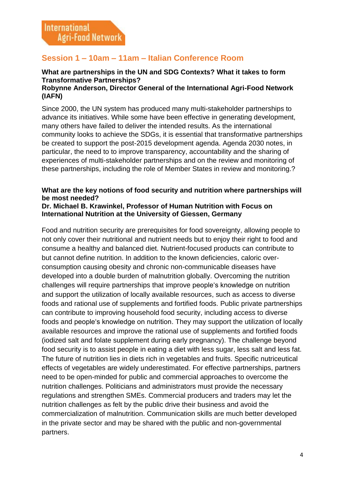## **Session 1 – 10am – 11am – Italian Conference Room**

# **What are partnerships in the UN and SDG Contexts? What it takes to form Transformative Partnerships?**

## **Robynne Anderson, Director General of the International Agri-Food Network (IAFN)**

Since 2000, the UN system has produced many multi-stakeholder partnerships to advance its initiatives. While some have been effective in generating development, many others have failed to deliver the intended results. As the international community looks to achieve the SDGs, it is essential that transformative partnerships be created to support the post-2015 development agenda. Agenda 2030 notes, in particular, the need to to improve transparency, accountability and the sharing of experiences of multi-stakeholder partnerships and on the review and monitoring of these partnerships, including the role of Member States in review and monitoring.?

#### **What are the key notions of food security and nutrition where partnerships will be most needed?**

#### **Dr. Michael B. Krawinkel, Professor of Human Nutrition with Focus on International Nutrition at the University of Giessen, Germany**

Food and nutrition security are prerequisites for food sovereignty, allowing people to not only cover their nutritional and nutrient needs but to enjoy their right to food and consume a healthy and balanced diet. Nutrient-focused products can contribute to but cannot define nutrition. In addition to the known deficiencies, caloric overconsumption causing obesity and chronic non-communicable diseases have developed into a double burden of malnutrition globally. Overcoming the nutrition challenges will require partnerships that improve people's knowledge on nutrition and support the utilization of locally available resources, such as access to diverse foods and rational use of supplements and fortified foods. Public private partnerships can contribute to improving household food security, including access to diverse foods and people's knowledge on nutrition. They may support the utilization of locally available resources and improve the rational use of supplements and fortified foods (iodized salt and folate supplement during early pregnancy). The challenge beyond food security is to assist people in eating a diet with less sugar, less salt and less fat. The future of nutrition lies in diets rich in vegetables and fruits. Specific nutriceutical effects of vegetables are widely underestimated. For effective partnerships, partners need to be open-minded for public and commercial approaches to overcome the nutrition challenges. Politicians and administrators must provide the necessary regulations and strengthen SMEs. Commercial producers and traders may let the nutrition challenges as felt by the public drive their business and avoid the commercialization of malnutrition. Communication skills are much better developed in the private sector and may be shared with the public and non-governmental partners.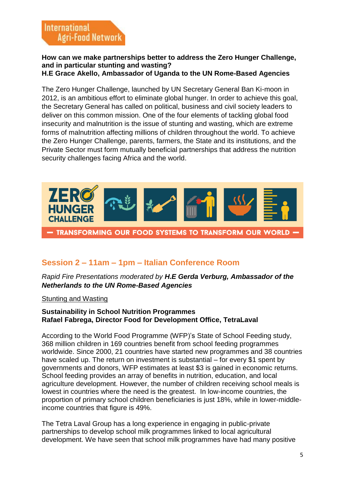#### **How can we make partnerships better to address the Zero Hunger Challenge, and in particular stunting and wasting? H.E Grace Akello, Ambassador of Uganda to the UN Rome-Based Agencies**

The Zero Hunger Challenge, launched by UN Secretary General Ban Ki-moon in 2012, is an ambitious effort to eliminate global hunger. In order to achieve this goal, the Secretary General has called on political, business and civil society leaders to deliver on this common mission. One of the four elements of tackling global food insecurity and malnutrition is the issue of stunting and wasting, which are extreme forms of malnutrition affecting millions of children throughout the world. To achieve the Zero Hunger Challenge, parents, farmers, the State and its institutions, and the Private Sector must form mutually beneficial partnerships that address the nutrition security challenges facing Africa and the world.



## **Session 2 – 11am – 1pm – Italian Conference Room**

*Rapid Fire Presentations moderated by H.E Gerda Verburg, Ambassador of the Netherlands to the UN Rome-Based Agencies*

### Stunting and Wasting

#### **Sustainability in School Nutrition Programmes Rafael Fabrega, Director Food for Development Office, TetraLaval**

According to the World Food Programme (WFP)'s State of School Feeding study, 368 million children in 169 countries benefit from school feeding programmes worldwide. Since 2000, 21 countries have started new programmes and 38 countries have scaled up. The return on investment is substantial – for every \$1 spent by governments and donors, WFP estimates at least \$3 is gained in economic returns. School feeding provides an array of benefits in nutrition, education, and local agriculture development. However, the number of children receiving school meals is lowest in countries where the need is the greatest. In low-income countries, the proportion of primary school children beneficiaries is just 18%, while in lower-middleincome countries that figure is 49%.

The Tetra Laval Group has a long experience in engaging in public-private partnerships to develop school milk programmes linked to local agricultural development. We have seen that school milk programmes have had many positive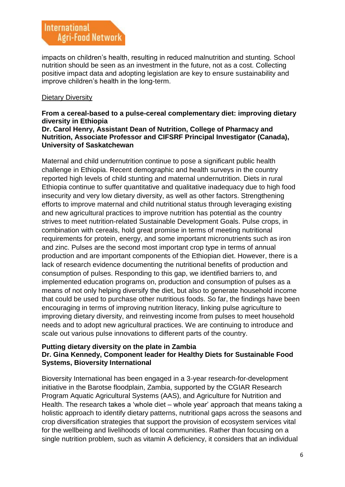impacts on children's health, resulting in reduced malnutrition and stunting. School nutrition should be seen as an investment in the future, not as a cost. Collecting positive impact data and adopting legislation are key to ensure sustainability and improve children's health in the long-term.

### Dietary Diversity

## **From a cereal-based to a pulse-cereal complementary diet: improving dietary diversity in Ethiopia**

#### **Dr. Carol Henry, Assistant Dean of Nutrition, College of Pharmacy and Nutrition, Associate Professor and CIFSRF Principal Investigator (Canada), University of Saskatchewan**

Maternal and child undernutrition continue to pose a significant public health challenge in Ethiopia. Recent demographic and health surveys in the country reported high levels of child stunting and maternal undernutrition. Diets in rural Ethiopia continue to suffer quantitative and qualitative inadequacy due to high food insecurity and very low dietary diversity, as well as other factors. Strengthening efforts to improve maternal and child nutritional status through leveraging existing and new agricultural practices to improve nutrition has potential as the country strives to meet nutrition-related Sustainable Development Goals. Pulse crops, in combination with cereals, hold great promise in terms of meeting nutritional requirements for protein, energy, and some important micronutrients such as iron and zinc. Pulses are the second most important crop type in terms of annual production and are important components of the Ethiopian diet. However, there is a lack of research evidence documenting the nutritional benefits of production and consumption of pulses. Responding to this gap, we identified barriers to, and implemented education programs on, production and consumption of pulses as a means of not only helping diversify the diet, but also to generate household income that could be used to purchase other nutritious foods. So far, the findings have been encouraging in terms of improving nutrition literacy, linking pulse agriculture to improving dietary diversity, and reinvesting income from pulses to meet household needs and to adopt new agricultural practices. We are continuing to introduce and scale out various pulse innovations to different parts of the country.

#### **Putting dietary diversity on the plate in Zambia Dr. Gina Kennedy, Component leader for Healthy Diets for Sustainable Food Systems, Bioversity International**

Bioversity International has been engaged in a 3-year research-for-development initiative in the Barotse floodplain, Zambia, supported by the CGIAR Research Program Aquatic Agricultural Systems (AAS), and Agriculture for Nutrition and Health. The research takes a 'whole diet – whole year' approach that means taking a holistic approach to identify dietary patterns, nutritional gaps across the seasons and crop diversification strategies that support the provision of ecosystem services vital for the wellbeing and livelihoods of local communities. Rather than focusing on a single nutrition problem, such as vitamin A deficiency, it considers that an individual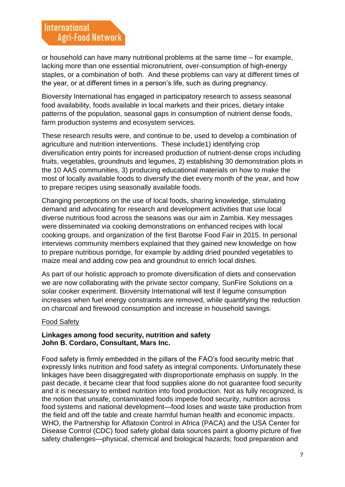or household can have many nutritional problems at the same time – for example, lacking more than one essential micronutrient, over-consumption of high-energy staples, or a combination of both. And these problems can vary at different times of the year, or at different times in a person's life, such as during pregnancy.

Bioversity International has engaged in participatory research to assess seasonal food availability, foods available in local markets and their prices, dietary intake patterns of the population, seasonal gaps in consumption of nutrient dense foods, farm production systems and ecosystem services.

These research results were, and continue to be, used to develop a combination of agriculture and nutrition interventions. These include1) identifying crop diversification entry points for increased production of nutrient-dense crops including fruits, vegetables, groundnuts and legumes, 2) establishing 30 demonstration plots in the 10 AAS communities, 3) producing educational materials on how to make the most of locally available foods to diversify the diet every month of the year, and how to prepare recipes using seasonally available foods.

Changing perceptions on the use of local foods, sharing knowledge, stimulating demand and advocating for research and development activities that use local diverse nutritious food across the seasons was our aim in Zambia. Key messages were disseminated via cooking demonstrations on enhanced recipes with local cooking groups, and organization of the first Barotse Food Fair in 2015. In personal interviews community members explained that they gained new knowledge on how to prepare nutritious porridge, for example by adding dried pounded vegetables to maize meal and adding cow pea and groundnut to enrich local dishes.

As part of our holistic approach to promote diversification of diets and conservation we are now collaborating with the private sector company, SunFire Solutions on a solar cooker experiment. Bioversity International will test if legume consumption increases when fuel energy constraints are removed, while quantifying the reduction on charcoal and firewood consumption and increase in household savings.

#### Food Safety

#### **Linkages among food security, nutrition and safety John B. Cordaro, Consultant, Mars Inc.**

Food safety is firmly embedded in the pillars of the FAO's food security metric that expressly links nutrition and food safety as integral components. Unfortunately these linkages have been disaggregated with disproportionate emphasis on supply. In the past decade, it became clear that food supplies alone do not guarantee food security and it is necessary to embed nutrition into food production. Not as fully recognized, is the notion that unsafe, contaminated foods impede food security, nutrition across food systems and national development—food loses and waste take production from the field and off the table and create harmful human health and economic impacts. WHO, the Partnership for Aflatoxin Control in Africa (PACA) and the USA Center for Disease Control (CDC) food safety global data sources paint a gloomy picture of five safety challenges—physical, chemical and biological hazards; food preparation and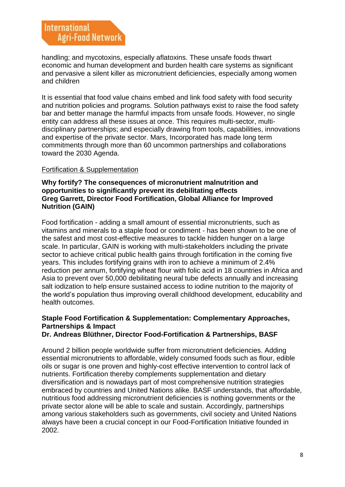handling; and mycotoxins, especially aflatoxins. These unsafe foods thwart economic and human development and burden health care systems as significant and pervasive a silent killer as micronutrient deficiencies, especially among women and children

It is essential that food value chains embed and link food safety with food security and nutrition policies and programs. Solution pathways exist to raise the food safety bar and better manage the harmful impacts from unsafe foods. However, no single entity can address all these issues at once. This requires multi-sector, multidisciplinary partnerships; and especially drawing from tools, capabilities, innovations and expertise of the private sector. Mars, Incorporated has made long term commitments through more than 60 uncommon partnerships and collaborations toward the 2030 Agenda.

#### Fortification & Supplementation

#### **Why fortify? The consequences of micronutrient malnutrition and opportunities to significantly prevent its debilitating effects Greg Garrett, Director Food Fortification, Global Alliance for Improved Nutrition (GAIN)**

Food fortification - adding a small amount of essential micronutrients, such as vitamins and minerals to a staple food or condiment - has been shown to be one of the safest and most cost-effective measures to tackle hidden hunger on a large scale. In particular, GAIN is working with multi-stakeholders including the private sector to achieve critical public health gains through fortification in the coming five years. This includes fortifying grains with iron to achieve a minimum of 2.4% reduction per annum, fortifying wheat flour with folic acid in 18 countries in Africa and Asia to prevent over 50,000 debilitating neural tube defects annually and increasing salt iodization to help ensure sustained access to iodine nutrition to the majority of the world's population thus improving overall childhood development, educability and health outcomes.

## **Staple Food Fortification & Supplementation: Complementary Approaches, Partnerships & Impact**

## **Dr. Andreas Blüthner, Director Food-Fortification & Partnerships, BASF**

Around 2 billion people worldwide suffer from micronutrient deficiencies. Adding essential micronutrients to affordable, widely consumed foods such as flour, edible oils or sugar is one proven and highly-cost effective intervention to control lack of nutrients. Fortification thereby complements supplementation and dietary diversification and is nowadays part of most comprehensive nutrition strategies embraced by countries and United Nations alike. BASF understands, that affordable, nutritious food addressing micronutrient deficiencies is nothing governments or the private sector alone will be able to scale and sustain. Accordingly, partnerships among various stakeholders such as governments, civil society and United Nations always have been a crucial concept in our Food-Fortification Initiative founded in 2002.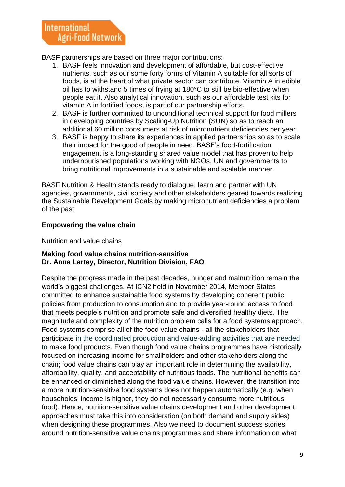BASF partnerships are based on three major contributions:

- 1. BASF feels innovation and development of affordable, but cost-effective nutrients, such as our some forty forms of Vitamin A suitable for all sorts of foods, is at the heart of what private sector can contribute. Vitamin A in edible oil has to withstand 5 times of frying at 180°C to still be bio-effective when people eat it. Also analytical innovation, such as our affordable test kits for vitamin A in fortified foods, is part of our partnership efforts.
- 2. BASF is further committed to unconditional technical support for food millers in developing countries by Scaling-Up Nutrition (SUN) so as to reach an additional 60 million consumers at risk of micronutrient deficiencies per year.
- 3. BASF is happy to share its experiences in applied partnerships so as to scale their impact for the good of people in need. BASF's food-fortification engagement is a long-standing shared value model that has proven to help undernourished populations working with NGOs, UN and governments to bring nutritional improvements in a sustainable and scalable manner.

BASF Nutrition & Health stands ready to dialogue, learn and partner with UN agencies, governments, civil society and other stakeholders geared towards realizing the Sustainable Development Goals by making micronutrient deficiencies a problem of the past.

### **Empowering the value chain**

#### Nutrition and value chains

#### **Making food value chains nutrition-sensitive Dr. Anna Lartey, Director, Nutrition Division, FAO**

Despite the progress made in the past decades, hunger and malnutrition remain the world's biggest challenges. At ICN2 held in November 2014, Member States committed to enhance sustainable food systems by developing coherent public policies from production to consumption and to provide year-round access to food that meets people's nutrition and promote safe and diversified healthy diets. The magnitude and complexity of the nutrition problem calls for a food systems approach. Food systems comprise all of the food value chains - all the stakeholders that participate in the coordinated production and value-adding activities that are needed to make food products. Even though food value chains programmes have historically focused on increasing income for smallholders and other stakeholders along the chain; food value chains can play an important role in determining the availability, affordability, quality, and acceptability of nutritious foods. The nutritional benefits can be enhanced or diminished along the food value chains. However, the transition into a more nutrition-sensitive food systems does not happen automatically (e.g. when households' income is higher, they do not necessarily consume more nutritious food). Hence, nutrition-sensitive value chains development and other development approaches must take this into consideration (on both demand and supply sides) when designing these programmes. Also we need to document success stories around nutrition-sensitive value chains programmes and share information on what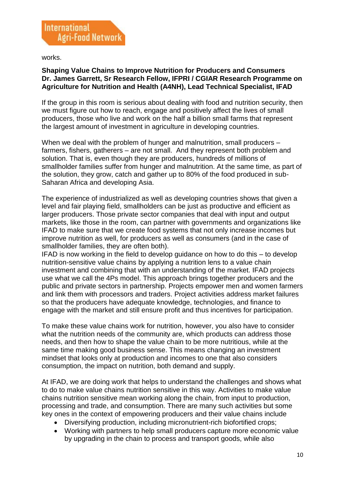

works.

#### **Shaping Value Chains to Improve Nutrition for Producers and Consumers Dr. James Garrett, Sr Research Fellow, IFPRI / CGIAR Research Programme on Agriculture for Nutrition and Health (A4NH), Lead Technical Specialist, IFAD**

If the group in this room is serious about dealing with food and nutrition security, then we must figure out how to reach, engage and positively affect the lives of small producers, those who live and work on the half a billion small farms that represent the largest amount of investment in agriculture in developing countries.

When we deal with the problem of hunger and malnutrition, small producers – farmers, fishers, gatherers – are not small. And they represent both problem and solution. That is, even though they are producers, hundreds of millions of smallholder families suffer from hunger and malnutrition. At the same time, as part of the solution, they grow, catch and gather up to 80% of the food produced in sub-Saharan Africa and developing Asia.

The experience of industrialized as well as developing countries shows that given a level and fair playing field, smallholders can be just as productive and efficient as larger producers. Those private sector companies that deal with input and output markets, like those in the room, can partner with governments and organizations like IFAD to make sure that we create food systems that not only increase incomes but improve nutrition as well, for producers as well as consumers (and in the case of smallholder families, they are often both).

IFAD is now working in the field to develop guidance on how to do this – to develop nutrition-sensitive value chains by applying a nutrition lens to a value chain investment and combining that with an understanding of the market. IFAD projects use what we call the 4Ps model. This approach brings together producers and the public and private sectors in partnership. Projects empower men and women farmers and link them with processors and traders. Project activities address market failures so that the producers have adequate knowledge, technologies, and finance to engage with the market and still ensure profit and thus incentives for participation.

To make these value chains work for nutrition, however, you also have to consider what the nutrition needs of the community are, which products can address those needs, and then how to shape the value chain to be more nutritious, while at the same time making good business sense. This means changing an investment mindset that looks only at production and incomes to one that also considers consumption, the impact on nutrition, both demand and supply.

At IFAD, we are doing work that helps to understand the challenges and shows what to do to make value chains nutrition sensitive in this way. Activities to make value chains nutrition sensitive mean working along the chain, from input to production, processing and trade, and consumption. There are many such activities but some key ones in the context of empowering producers and their value chains include

- Diversifying production, including micronutrient-rich biofortified crops;
- Working with partners to help small producers capture more economic value by upgrading in the chain to process and transport goods, while also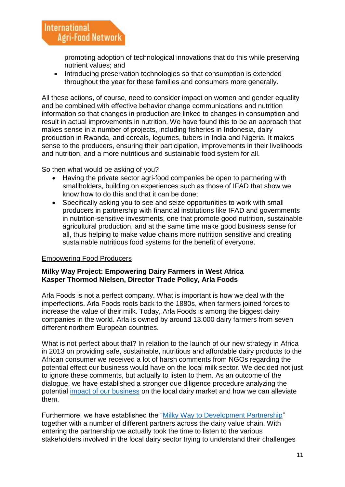promoting adoption of technological innovations that do this while preserving nutrient values; and

• Introducing preservation technologies so that consumption is extended throughout the year for these families and consumers more generally.

All these actions, of course, need to consider impact on women and gender equality and be combined with effective behavior change communications and nutrition information so that changes in production are linked to changes in consumption and result in actual improvements in nutrition. We have found this to be an approach that makes sense in a number of projects, including fisheries in Indonesia, dairy production in Rwanda, and cereals, legumes, tubers in India and Nigeria. It makes sense to the producers, ensuring their participation, improvements in their livelihoods and nutrition, and a more nutritious and sustainable food system for all.

So then what would be asking of you?

- Having the private sector agri-food companies be open to partnering with smallholders, building on experiences such as those of IFAD that show we know how to do this and that it can be done;
- Specifically asking you to see and seize opportunities to work with small producers in partnership with financial institutions like IFAD and governments in nutrition-sensitive investments, one that promote good nutrition, sustainable agricultural production, and at the same time make good business sense for all, thus helping to make value chains more nutrition sensitive and creating sustainable nutritious food systems for the benefit of everyone.

### Empowering Food Producers

#### **Milky Way Project: Empowering Dairy Farmers in West Africa Kasper Thormod Nielsen, Director Trade Policy, Arla Foods**

Arla Foods is not a perfect company. What is important is how we deal with the imperfections. Arla Foods roots back to the 1880s, when farmers joined forces to increase the value of their milk. Today, Arla Foods is among the biggest dairy companies in the world. Arla is owned by around 13.000 dairy farmers from seven different northern European countries.

What is not perfect about that? In relation to the launch of our new strategy in Africa in 2013 on providing safe, sustainable, nutritious and affordable dairy products to the African consumer we received a lot of harsh comments from NGOs regarding the potential effect our business would have on the local milk sector. We decided not just to ignore these comments, but actually to listen to them. As an outcome of the dialogue, we have established a stronger due diligence procedure analyzing the potential [impact of our business](http://www.arla.com/company/responsibility/human-rights/) on the local dairy market and how we can alleviate them.

Furthermore, we have established the ["Milky Way to Development Partnership"](http://www.care.dk/focuscontries/niger-eng/milky-way-development) together with a number of different partners across the dairy value chain. With entering the partnership we actually took the time to listen to the various stakeholders involved in the local dairy sector trying to understand their challenges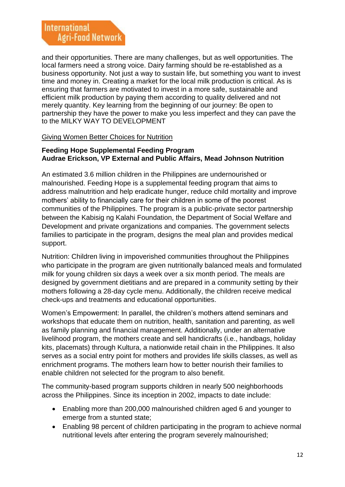and their opportunities. There are many challenges, but as well opportunities. The local farmers need a strong voice. Dairy farming should be re-established as a business opportunity. Not just a way to sustain life, but something you want to invest time and money in. Creating a market for the local milk production is critical. As is ensuring that farmers are motivated to invest in a more safe, sustainable and efficient milk production by paying them according to quality delivered and not merely quantity. Key learning from the beginning of our journey: Be open to partnership they have the power to make you less imperfect and they can pave the to the MILKY WAY TO DEVELOPMENT

### Giving Women Better Choices for Nutrition

#### **Feeding Hope Supplemental Feeding Program Audrae Erickson, VP External and Public Affairs, Mead Johnson Nutrition**

An estimated 3.6 million children in the Philippines are undernourished or malnourished. Feeding Hope is a supplemental feeding program that aims to address malnutrition and help eradicate hunger, reduce child mortality and improve mothers' ability to financially care for their children in some of the poorest communities of the Philippines. The program is a public-private sector partnership between the Kabisig ng Kalahi Foundation, the Department of Social Welfare and Development and private organizations and companies. The government selects families to participate in the program, designs the meal plan and provides medical support.

Nutrition: Children living in impoverished communities throughout the Philippines who participate in the program are given nutritionally balanced meals and formulated milk for young children six days a week over a six month period. The meals are designed by government dietitians and are prepared in a community setting by their mothers following a 28-day cycle menu. Additionally, the children receive medical check-ups and treatments and educational opportunities.

Women's Empowerment: In parallel, the children's mothers attend seminars and workshops that educate them on nutrition, health, sanitation and parenting, as well as family planning and financial management. Additionally, under an alternative livelihood program, the mothers create and sell handicrafts (i.e., handbags, holiday kits, placemats) through Kultura, a nationwide retail chain in the Philippines. It also serves as a social entry point for mothers and provides life skills classes, as well as enrichment programs. The mothers learn how to better nourish their families to enable children not selected for the program to also benefit.

The community-based program supports children in nearly 500 neighborhoods across the Philippines. Since its inception in 2002, impacts to date include:

- Enabling more than 200,000 malnourished children aged 6 and younger to emerge from a stunted state;
- Enabling 98 percent of children participating in the program to achieve normal nutritional levels after entering the program severely malnourished;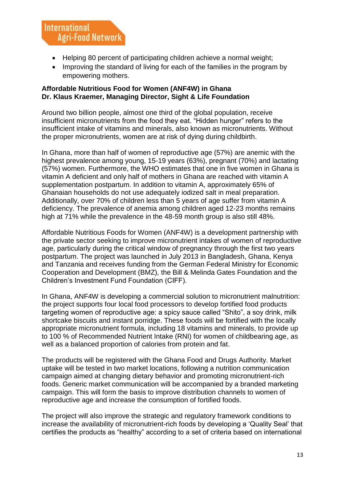- Helping 80 percent of participating children achieve a normal weight;
- Improving the standard of living for each of the families in the program by empowering mothers.

## **Affordable Nutritious Food for Women (ANF4W) in Ghana Dr. Klaus Kraemer, Managing Director, Sight & Life Foundation**

Around two billion people, almost one third of the global population, receive insufficient micronutrients from the food they eat. "Hidden hunger" refers to the insufficient intake of vitamins and minerals, also known as micronutrients. Without the proper micronutrients, women are at risk of dying during childbirth.

In Ghana, more than half of women of reproductive age (57%) are anemic with the highest prevalence among young, 15-19 years (63%), pregnant (70%) and lactating (57%) women. Furthermore, the WHO estimates that one in five women in Ghana is vitamin A deficient and only half of mothers in Ghana are reached with vitamin A supplementation postpartum. In addition to vitamin A, approximately 65% of Ghanaian households do not use adequately iodized salt in meal preparation. Additionally, over 70% of children less than 5 years of age suffer from vitamin A deficiency. The prevalence of anemia among children aged 12-23 months remains high at 71% while the prevalence in the 48-59 month group is also still 48%.

Affordable Nutritious Foods for Women (ANF4W) is a development partnership with the private sector seeking to improve micronutrient intakes of women of reproductive age, particularly during the critical window of pregnancy through the first two years postpartum. The project was launched in July 2013 in Bangladesh, Ghana, Kenya and Tanzania and receives funding from the German Federal Ministry for Economic Cooperation and Development (BMZ), the Bill & Melinda Gates Foundation and the Children's Investment Fund Foundation (CIFF).

In Ghana, ANF4W is developing a commercial solution to micronutrient malnutrition: the project supports four local food processors to develop fortified food products targeting women of reproductive age: a spicy sauce called "Shito", a soy drink, milk shortcake biscuits and instant porridge. These foods will be fortified with the locally appropriate micronutrient formula, including 18 vitamins and minerals, to provide up to 100 % of Recommended Nutrient Intake (RNI) for women of childbearing age, as well as a balanced proportion of calories from protein and fat.

The products will be registered with the Ghana Food and Drugs Authority. Market uptake will be tested in two market locations, following a nutrition communication campaign aimed at changing dietary behavior and promoting micronutrient-rich foods. Generic market communication will be accompanied by a branded marketing campaign. This will form the basis to improve distribution channels to women of reproductive age and increase the consumption of fortified foods.

The project will also improve the strategic and regulatory framework conditions to increase the availability of micronutrient-rich foods by developing a 'Quality Seal' that certifies the products as "healthy" according to a set of criteria based on international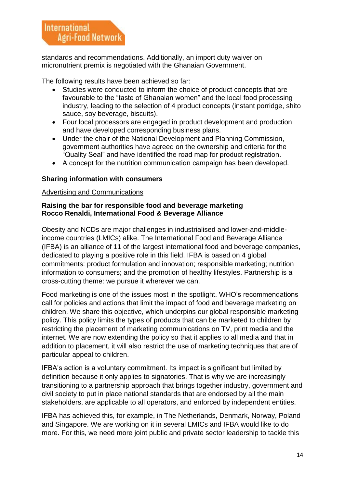standards and recommendations. Additionally, an import duty waiver on micronutrient premix is negotiated with the Ghanaian Government.

The following results have been achieved so far:

- Studies were conducted to inform the choice of product concepts that are favourable to the "taste of Ghanaian women" and the local food processing industry, leading to the selection of 4 product concepts (instant porridge, shito sauce, soy beverage, biscuits).
- Four local processors are engaged in product development and production and have developed corresponding business plans.
- Under the chair of the National Development and Planning Commission, government authorities have agreed on the ownership and criteria for the "Quality Seal" and have identified the road map for product registration.
- A concept for the nutrition communication campaign has been developed.

### **Sharing information with consumers**

#### Advertising and Communications

#### **Raising the bar for responsible food and beverage marketing Rocco Renaldi, International Food & Beverage Alliance**

Obesity and NCDs are major challenges in industrialised and lower-and-middleincome countries (LMICs) alike. The International Food and Beverage Alliance (IFBA) is an alliance of 11 of the largest international food and beverage companies, dedicated to playing a positive role in this field. IFBA is based on 4 global commitments: product formulation and innovation; responsible marketing; nutrition information to consumers; and the promotion of healthy lifestyles. Partnership is a cross-cutting theme: we pursue it wherever we can.

Food marketing is one of the issues most in the spotlight. WHO's recommendations call for policies and actions that limit the impact of food and beverage marketing on children. We share this objective, which underpins our global responsible marketing policy. This policy limits the types of products that can be marketed to children by restricting the placement of marketing communications on TV, print media and the internet. We are now extending the policy so that it applies to all media and that in addition to placement, it will also restrict the use of marketing techniques that are of particular appeal to children.

IFBA's action is a voluntary commitment. Its impact is significant but limited by definition because it only applies to signatories. That is why we are increasingly transitioning to a partnership approach that brings together industry, government and civil society to put in place national standards that are endorsed by all the main stakeholders, are applicable to all operators, and enforced by independent entities.

IFBA has achieved this, for example, in The Netherlands, Denmark, Norway, Poland and Singapore. We are working on it in several LMICs and IFBA would like to do more. For this, we need more joint public and private sector leadership to tackle this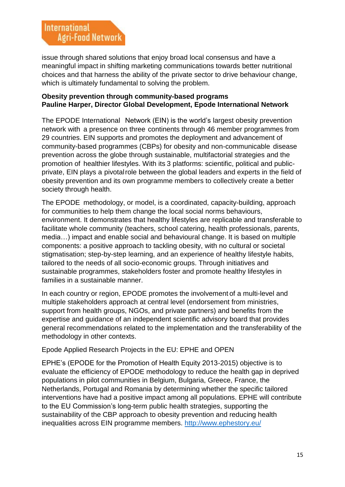issue through shared solutions that enjoy broad local consensus and have a meaningful impact in shifting marketing communications towards better nutritional choices and that harness the ability of the private sector to drive behaviour change, which is ultimately fundamental to solving the problem.

#### **Obesity prevention through community-based programs Pauline Harper, Director Global Development, Epode International Network**

The EPODE International Network (EIN) is the world's largest obesity prevention network with a presence on three continents through 46 member programmes from 29 countries. EIN supports and promotes the deployment and advancement of community-based programmes (CBPs) for obesity and non-communicable disease prevention across the globe through sustainable, multifactorial strategies and the promotion of healthier lifestyles. With its 3 platforms: scientific, political and publicprivate, EIN plays a pivotalrole between the global leaders and experts in the field of obesity prevention and its own programme members to collectively create a better society through health.

The EPODE methodology, or model, is a coordinated, capacity-building, approach for communities to help them change the local social norms behaviours, environment. It demonstrates that healthy lifestyles are replicable and transferable to facilitate whole community (teachers, school catering, health professionals, parents, media…) impact and enable social and behavioural change. It is based on multiple components: a positive approach to tackling obesity, with no cultural or societal stigmatisation; step-by-step learning, and an experience of healthy lifestyle habits, tailored to the needs of all socio-economic groups. Through initiatives and sustainable programmes, stakeholders foster and promote healthy lifestyles in families in a sustainable manner.

In each country or region, EPODE promotes the involvement of a multi-level and multiple stakeholders approach at central level (endorsement from ministries, support from health groups, NGOs, and private partners) and benefits from the expertise and guidance of an independent scientific advisory board that provides general recommendations related to the implementation and the transferability of the methodology in other contexts.

### Epode Applied Research Projects in the EU: EPHE and OPEN

EPHE's (EPODE for the Promotion of Health Equity 2013-2015) objective is to evaluate the efficiency of EPODE methodology to reduce the health gap in deprived populations in pilot communities in Belgium, Bulgaria, Greece, France, the Netherlands, Portugal and Romania by determining whether the specific tailored interventions have had a positive impact among all populations. EPHE will contribute to the EU Commission's long-term public health strategies, supporting the sustainability of the CBP approach to obesity prevention and reducing health inequalities across EIN programme members.<http://www.ephestory.eu/>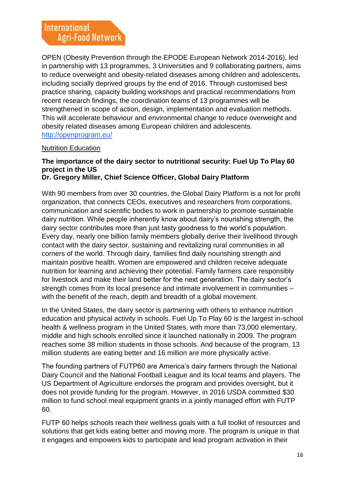OPEN (Obesity Prevention through the EPODE European Network 2014-2016), led in partnership with 13 programmes, 3 Universities and 9 collaborating partners, aims to reduce overweight and obesity-related diseases among children and adolescents, including socially deprived groups by the end of 2016. Through customised best practice sharing, capacity building workshops and practical recommendations from recent research findings, the coordination teams of 13 programmes will be strengthened in scope of action, design, implementation and evaluation methods. This will accelerate behaviour and environmental change to reduce overweight and obesity related diseases among European children and adolescents. <http://openprogram.eu/>

#### Nutrition Education

## **The importance of the dairy sector to nutritional security: Fuel Up To Play 60 project in the US**

**Dr. Gregory Miller, Chief Science Officer, Global Dairy Platform**

With 90 members from over 30 countries, the Global Dairy Platform is a not for profit organization, that connects CEOs, executives and researchers from corporations, communication and scientific bodies to work in partnership to promote sustainable dairy nutrition. While people inherently know about dairy's nourishing strength, the dairy sector contributes more than just tasty goodness to the world's population. Every day, nearly one billion family members globally derive their livelihood through contact with the dairy sector, sustaining and revitalizing rural communities in all corners of the world. Through dairy, families find daily nourishing strength and maintain positive health. Women are empowered and children receive adequate nutrition for learning and achieving their potential. Family farmers care responsibly for livestock and make their land better for the next generation. The dairy sector's strength comes from its local presence and intimate involvement in communities – with the benefit of the reach, depth and breadth of a global movement.

In the United States, the dairy sector is partnering with others to enhance nutrition education and physical activity in schools. Fuel Up To Play 60 is the largest in-school health & wellness program in the United States, with more than 73,000 elementary, middle and high schools enrolled since it launched nationally in 2009. The program reaches some 38 million students in those schools. And because of the program, 13 million students are eating better and 16 million are more physically active.

The founding partners of FUTP60 are America's dairy farmers through the National Dairy Council and the National Football League and its local teams and players. The US Department of Agriculture endorses the program and provides oversight, but it does not provide funding for the program. However, in 2016 USDA committed \$30 million to fund school meal equipment grants in a jointly managed effort with FUTP 60.

FUTP 60 helps schools reach their wellness goals with a full toolkit of resources and solutions that get kids eating better and moving more. The program is unique in that it engages and empowers kids to participate and lead program activation in their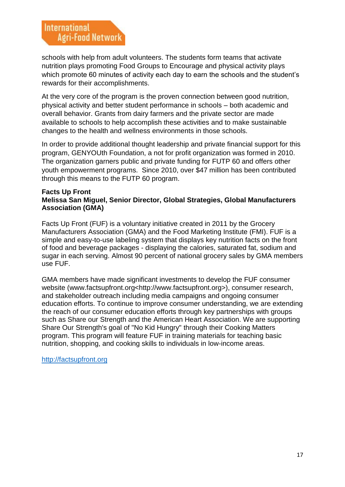schools with help from adult volunteers. The students form teams that activate nutrition plays promoting Food Groups to Encourage and physical activity plays which promote 60 minutes of activity each day to earn the schools and the student's rewards for their accomplishments.

At the very core of the program is the proven connection between good nutrition, physical activity and better student performance in schools – both academic and overall behavior. Grants from dairy farmers and the private sector are made available to schools to help accomplish these activities and to make sustainable changes to the health and wellness environments in those schools.

In order to provide additional thought leadership and private financial support for this program, GENYOUth Foundation, a not for profit organization was formed in 2010. The organization garners public and private funding for FUTP 60 and offers other youth empowerment programs. Since 2010, over \$47 million has been contributed through this means to the FUTP 60 program.

#### **Facts Up Front Melissa San Miguel, Senior Director, Global Strategies, Global Manufacturers Association (GMA)**

Facts Up Front (FUF) is a voluntary initiative created in 2011 by the Grocery Manufacturers Association (GMA) and the Food Marketing Institute (FMI). FUF is a simple and easy-to-use labeling system that displays key nutrition facts on the front of food and beverage packages - displaying the calories, saturated fat, sodium and sugar in each serving. Almost 90 percent of national grocery sales by GMA members use FUF.

GMA members have made significant investments to develop the FUF consumer website (www.factsupfront.org<http://www.factsupfront.org>), consumer research, and stakeholder outreach including media campaigns and ongoing consumer education efforts. To continue to improve consumer understanding, we are extending the reach of our consumer education efforts through key partnerships with groups such as Share our Strength and the American Heart Association. We are supporting Share Our Strength's goal of "No Kid Hungry" through their Cooking Matters program. This program will feature FUF in training materials for teaching basic nutrition, shopping, and cooking skills to individuals in low-income areas.

[http://factsupfront.org](http://factsupfront.org/)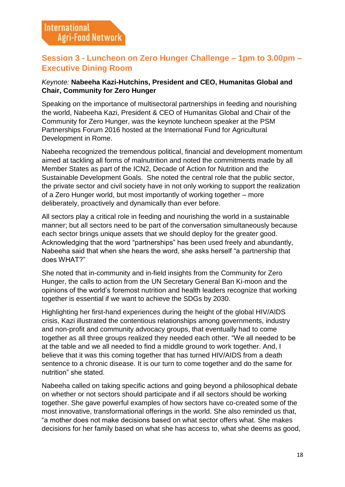## **Session 3 - Luncheon on Zero Hunger Challenge – 1pm to 3.00pm – Executive Dining Room**

## *Keynote:* **Nabeeha Kazi-Hutchins, President and CEO, Humanitas Global and Chair, Community for Zero Hunger**

Speaking on the importance of multisectoral partnerships in feeding and nourishing the world, Nabeeha Kazi, President & CEO of Humanitas Global and Chair of the Community for Zero Hunger, was the keynote luncheon speaker at the PSM Partnerships Forum 2016 hosted at the International Fund for Agricultural Development in Rome.

Nabeeha recognized the tremendous political, financial and development momentum aimed at tackling all forms of malnutrition and noted the commitments made by all Member States as part of the ICN2, Decade of Action for Nutrition and the Sustainable Development Goals. She noted the central role that the public sector, the private sector and civil society have in not only working to support the realization of a Zero Hunger world, but most importantly of working together – more deliberately, proactively and dynamically than ever before.

All sectors play a critical role in feeding and nourishing the world in a sustainable manner; but all sectors need to be part of the conversation simultaneously because each sector brings unique assets that we should deploy for the greater good. Acknowledging that the word "partnerships" has been used freely and abundantly, Nabeeha said that when she hears the word, she asks herself "a partnership that does WHAT?"

She noted that in-community and in-field insights from the Community for Zero Hunger, the calls to action from the UN Secretary General Ban Ki-moon and the opinions of the world's foremost nutrition and health leaders recognize that working together is essential if we want to achieve the SDGs by 2030.

Highlighting her first-hand experiences during the height of the global HIV/AIDS crisis, Kazi illustrated the contentious relationships among governments, industry and non-profit and community advocacy groups, that eventually had to come together as all three groups realized they needed each other. "We all needed to be at the table and we all needed to find a middle ground to work together. And, I believe that it was this coming together that has turned HIV/AIDS from a death sentence to a chronic disease. It is our turn to come together and do the same for nutrition" she stated.

Nabeeha called on taking specific actions and going beyond a philosophical debate on whether or not sectors should participate and if all sectors should be working together. She gave powerful examples of how sectors have co-created some of the most innovative, transformational offerings in the world. She also reminded us that, "a mother does not make decisions based on what sector offers what. She makes decisions for her family based on what she has access to, what she deems as good,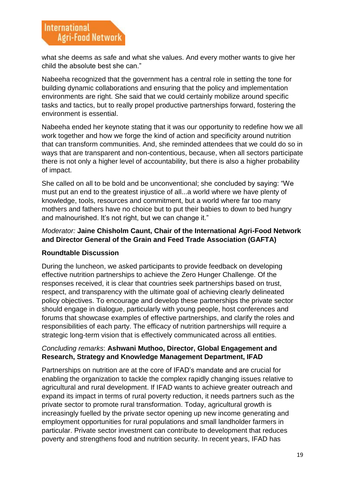what she deems as safe and what she values. And every mother wants to give her child the absolute best she can."

Nabeeha recognized that the government has a central role in setting the tone for building dynamic collaborations and ensuring that the policy and implementation environments are right. She said that we could certainly mobilize around specific tasks and tactics, but to really propel productive partnerships forward, fostering the environment is essential.

Nabeeha ended her keynote stating that it was our opportunity to redefine how we all work together and how we forge the kind of action and specificity around nutrition that can transform communities. And, she reminded attendees that we could do so in ways that are transparent and non-contentious, because, when all sectors participate there is not only a higher level of accountability, but there is also a higher probability of impact.

She called on all to be bold and be unconventional; she concluded by saying: "We must put an end to the greatest injustice of all...a world where we have plenty of knowledge, tools, resources and commitment, but a world where far too many mothers and fathers have no choice but to put their babies to down to bed hungry and malnourished. It's not right, but we can change it."

## *Moderator:* **Jaine Chisholm Caunt, Chair of the International Agri-Food Network and Director General of the Grain and Feed Trade Association (GAFTA)**

## **Roundtable Discussion**

During the luncheon, we asked participants to provide feedback on developing effective nutrition partnerships to achieve the Zero Hunger Challenge. Of the responses received, it is clear that countries seek partnerships based on trust, respect, and transparency with the ultimate goal of achieving clearly delineated policy objectives. To encourage and develop these partnerships the private sector should engage in dialogue, particularly with young people, host conferences and forums that showcase examples of effective partnerships, and clarify the roles and responsibilities of each party. The efficacy of nutrition partnerships will require a strategic long-term vision that is effectively communicated across all entities.

### *Concluding remarks*: **Ashwani Muthoo, Director, Global Engagement and Research, Strategy and Knowledge Management Department, IFAD**

Partnerships on nutrition are at the core of IFAD's mandate and are crucial for enabling the organization to tackle the complex rapidly changing issues relative to agricultural and rural development. If IFAD wants to achieve greater outreach and expand its impact in terms of rural poverty reduction, it needs partners such as the private sector to promote rural transformation. Today, agricultural growth is increasingly fuelled by the private sector opening up new income generating and employment opportunities for rural populations and small landholder farmers in particular. Private sector investment can contribute to development that reduces poverty and strengthens food and nutrition security. In recent years, IFAD has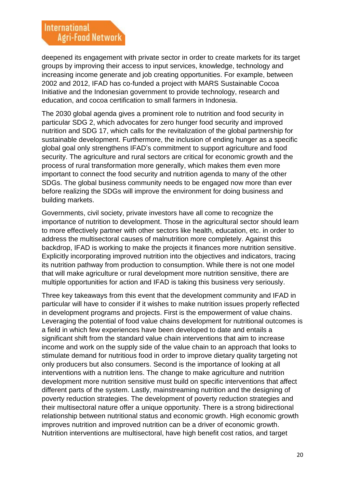deepened its engagement with private sector in order to create markets for its target groups by improving their access to input services, knowledge, technology and increasing income generate and job creating opportunities. For example, between 2002 and 2012, IFAD has co-funded a project with MARS Sustainable Cocoa Initiative and the Indonesian government to provide technology, research and education, and cocoa certification to small farmers in Indonesia.

The 2030 global agenda gives a prominent role to nutrition and food security in particular SDG 2, which advocates for zero hunger food security and improved nutrition and SDG 17, which calls for the revitalization of the global partnership for sustainable development. Furthermore, the inclusion of ending hunger as a specific global goal only strengthens IFAD's commitment to support agriculture and food security. The agriculture and rural sectors are critical for economic growth and the process of rural transformation more generally, which makes them even more important to connect the food security and nutrition agenda to many of the other SDGs. The global business community needs to be engaged now more than ever before realizing the SDGs will improve the environment for doing business and building markets.

Governments, civil society, private investors have all come to recognize the importance of nutrition to development. Those in the agricultural sector should learn to more effectively partner with other sectors like health, education, etc. in order to address the multisectoral causes of malnutrition more completely. Against this backdrop, IFAD is working to make the projects it finances more nutrition sensitive. Explicitly incorporating improved nutrition into the objectives and indicators, tracing its nutrition pathway from production to consumption. While there is not one model that will make agriculture or rural development more nutrition sensitive, there are multiple opportunities for action and IFAD is taking this business very seriously.

Three key takeaways from this event that the development community and IFAD in particular will have to consider if it wishes to make nutrition issues properly reflected in development programs and projects. First is the empowerment of value chains. Leveraging the potential of food value chains development for nutritional outcomes is a field in which few experiences have been developed to date and entails a significant shift from the standard value chain interventions that aim to increase income and work on the supply side of the value chain to an approach that looks to stimulate demand for nutritious food in order to improve dietary quality targeting not only producers but also consumers. Second is the importance of looking at all interventions with a nutrition lens. The change to make agriculture and nutrition development more nutrition sensitive must build on specific interventions that affect different parts of the system. Lastly, mainstreaming nutrition and the designing of poverty reduction strategies. The development of poverty reduction strategies and their multisectoral nature offer a unique opportunity. There is a strong bidirectional relationship between nutritional status and economic growth. High economic growth improves nutrition and improved nutrition can be a driver of economic growth. Nutrition interventions are multisectoral, have high benefit cost ratios, and target